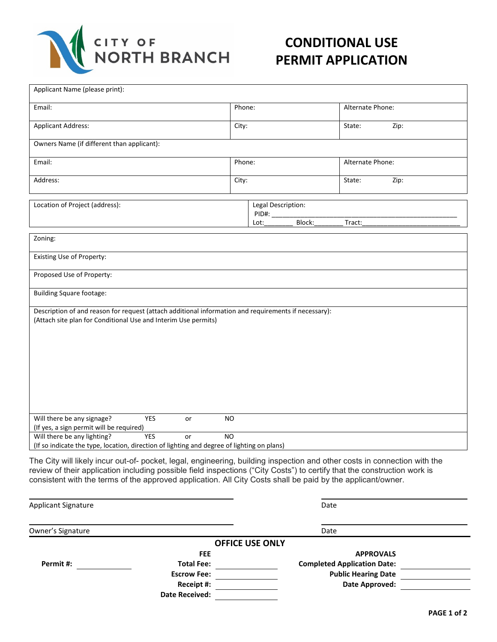

## **CONDITIONAL USE PERMIT APPLICATION**

| Applicant Name (please print):                                                                                                                                                                                                                                                                                                                                       |                                               |  |                  |      |  |  |  |
|----------------------------------------------------------------------------------------------------------------------------------------------------------------------------------------------------------------------------------------------------------------------------------------------------------------------------------------------------------------------|-----------------------------------------------|--|------------------|------|--|--|--|
| Email:                                                                                                                                                                                                                                                                                                                                                               | Phone:                                        |  | Alternate Phone: |      |  |  |  |
| <b>Applicant Address:</b>                                                                                                                                                                                                                                                                                                                                            | City:                                         |  | State:           | Zip: |  |  |  |
| Owners Name (if different than applicant):                                                                                                                                                                                                                                                                                                                           |                                               |  |                  |      |  |  |  |
| Email:                                                                                                                                                                                                                                                                                                                                                               | Phone:                                        |  | Alternate Phone: |      |  |  |  |
| Address:                                                                                                                                                                                                                                                                                                                                                             | City:                                         |  | State:           | Zip: |  |  |  |
| Location of Project (address):                                                                                                                                                                                                                                                                                                                                       | Legal Description:<br>PID#:<br>Block:<br>Lot: |  | Tract:           |      |  |  |  |
| Zoning:                                                                                                                                                                                                                                                                                                                                                              |                                               |  |                  |      |  |  |  |
| Existing Use of Property:                                                                                                                                                                                                                                                                                                                                            |                                               |  |                  |      |  |  |  |
| Proposed Use of Property:                                                                                                                                                                                                                                                                                                                                            |                                               |  |                  |      |  |  |  |
| <b>Building Square footage:</b>                                                                                                                                                                                                                                                                                                                                      |                                               |  |                  |      |  |  |  |
| Description of and reason for request (attach additional information and requirements if necessary):<br>(Attach site plan for Conditional Use and Interim Use permits)                                                                                                                                                                                               |                                               |  |                  |      |  |  |  |
| Will there be any signage?<br><b>YES</b><br>or<br>(If yes, a sign permit will be required)                                                                                                                                                                                                                                                                           | NO.                                           |  |                  |      |  |  |  |
| Will there be any lighting?<br><b>YES</b><br>or<br>(If so indicate the type, location, direction of lighting and degree of lighting on plans)                                                                                                                                                                                                                        | <b>NO</b>                                     |  |                  |      |  |  |  |
| The City will likely incur out-of- pocket, legal, engineering, building inspection and other costs in connection with the<br>review of their application including possible field inspections ("City Costs") to certify that the construction work is<br>consistent with the terms of the approved application. All City Costs shall be paid by the applicant/owner. |                                               |  |                  |      |  |  |  |

| <b>Applicant Signature</b> |                        | Date                               |  |
|----------------------------|------------------------|------------------------------------|--|
| Owner's Signature          |                        | Date                               |  |
|                            | <b>OFFICE USE ONLY</b> |                                    |  |
|                            | <b>FEE</b>             | <b>APPROVALS</b>                   |  |
| Permit #:                  | <b>Total Fee:</b>      | <b>Completed Application Date:</b> |  |
|                            | <b>Escrow Fee:</b>     | <b>Public Hearing Date</b>         |  |
|                            | Receipt #:             | <b>Date Approved:</b>              |  |
|                            | <b>Date Received:</b>  |                                    |  |